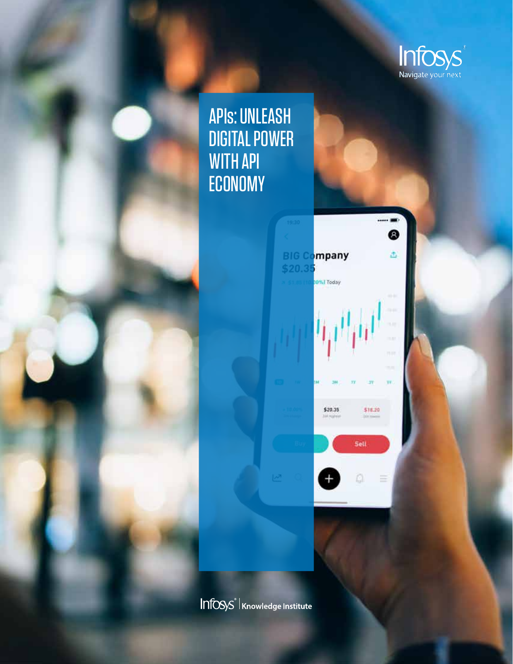

APIs: UNLEASH DIGITAL POWER WITH API ECONOMY

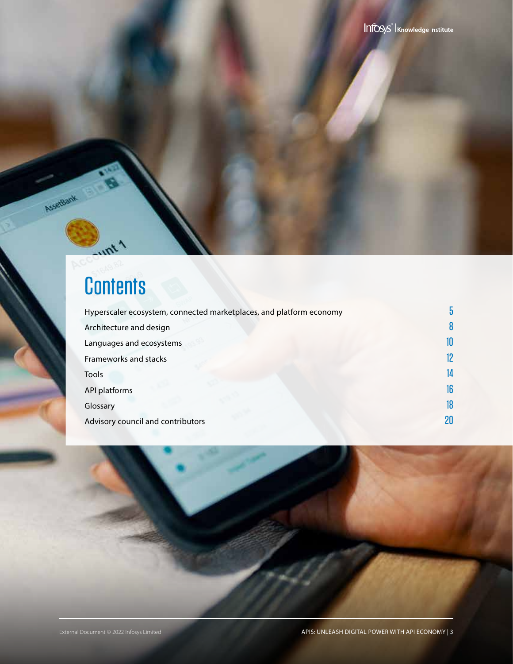# Contents

AssetBank

| Hyperscaler ecosystem, connected marketplaces, and platform economy |    |
|---------------------------------------------------------------------|----|
| Architecture and design                                             |    |
| Languages and ecosystems                                            |    |
| Frameworks and stacks                                               |    |
| <b>Tools</b>                                                        | 14 |
| API platforms                                                       | 16 |
| Glossary                                                            | 18 |
| Advisory council and contributors                                   |    |

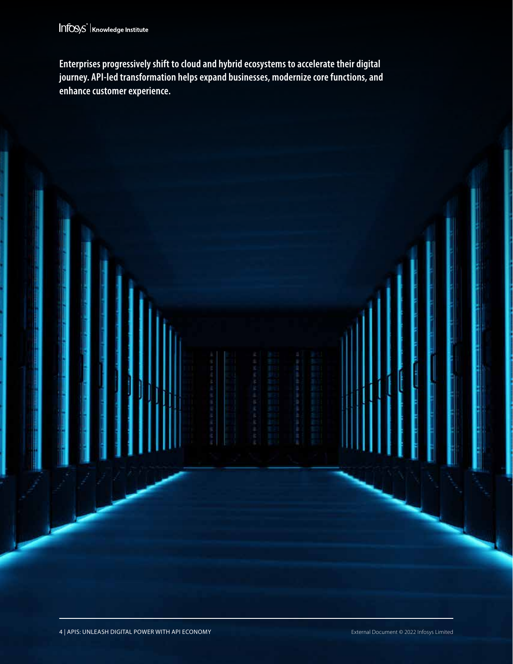**Enterprises progressively shift to cloud and hybrid ecosystems to accelerate their digital journey. API-led transformation helps expand businesses, modernize core functions, and enhance customer experience.**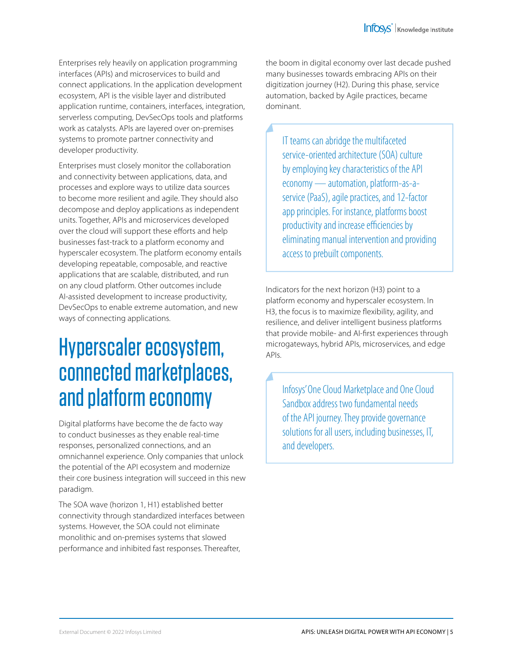<span id="page-4-0"></span>Enterprises rely heavily on application programming interfaces (APIs) and microservices to build and connect applications. In the application development ecosystem, API is the visible layer and distributed application runtime, containers, interfaces, integration, serverless computing, DevSecOps tools and platforms work as catalysts. APIs are layered over on-premises systems to promote partner connectivity and developer productivity.

Enterprises must closely monitor the collaboration and connectivity between applications, data, and processes and explore ways to utilize data sources to become more resilient and agile. They should also decompose and deploy applications as independent units. Together, APIs and microservices developed over the cloud will support these efforts and help businesses fast-track to a platform economy and hyperscaler ecosystem. The platform economy entails developing repeatable, composable, and reactive applications that are scalable, distributed, and run on any cloud platform. Other outcomes include AI-assisted development to increase productivity, DevSecOps to enable extreme automation, and new ways of connecting applications.

## Hyperscaler ecosystem, connected marketplaces, and platform economy

Digital platforms have become the de facto way to conduct businesses as they enable real-time responses, personalized connections, and an omnichannel experience. Only companies that unlock the potential of the API ecosystem and modernize their core business integration will succeed in this new paradigm.

The SOA wave (horizon 1, H1) established better connectivity through standardized interfaces between systems. However, the SOA could not eliminate monolithic and on-premises systems that slowed performance and inhibited fast responses. Thereafter,

the boom in digital economy over last decade pushed many businesses towards embracing APIs on their digitization journey (H2). During this phase, service automation, backed by Agile practices, became dominant.

IT teams can abridge the multifaceted service-oriented architecture (SOA) culture by employing key characteristics of the API economy — automation, platform-as-aservice (PaaS), agile practices, and 12-factor app principles. For instance, platforms boost productivity and increase efficiencies by eliminating manual intervention and providing access to prebuilt components.

Indicators for the next horizon (H3) point to a platform economy and hyperscaler ecosystem. In H3, the focus is to maximize flexibility, agility, and resilience, and deliver intelligent business platforms that provide mobile- and AI-first experiences through microgateways, hybrid APIs, microservices, and edge APIs.

Infosys' One Cloud Marketplace and One Cloud Sandbox address two fundamental needs of the API journey. They provide governance solutions for all users, including businesses, IT, and developers.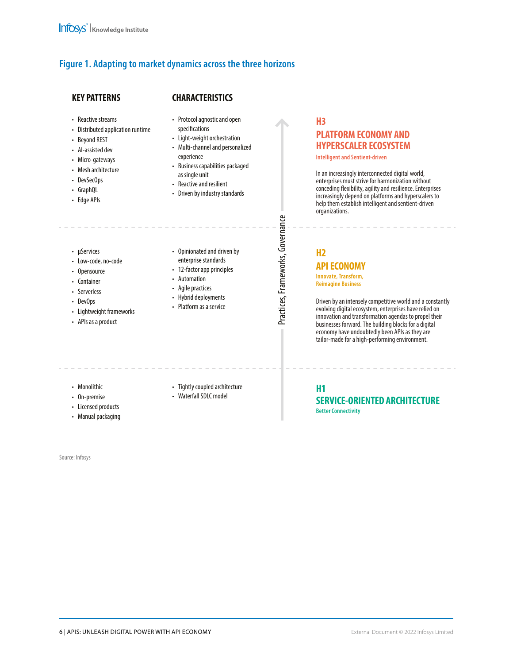#### **Figure 1. Adapting to market dynamics across the three horizons**

#### **KEY PATTERNS CHARACTERISTICS**

- Reactive streams
- Distributed application runtime
- Beyond REST
- AI-assisted dev
- Micro-gateways
- Mesh architecture
- DevSecOps
- GraphQL
- Edge APIs
- Protocol agnostic and open specifications
	- Light-weight orchestration
	- Multi-channel and personalized experience
	- Business capabilities packaged as single unit
	- Reactive and resilient
	- Driven by industry standards

**PLATFORM ECONOMY AND HYPERSCALER ECOSYSTEM H3**

**Intelligent and Sentient-driven**

In an increasingly interconnected digital world, enterprises must strive for harmonization without conceding flexibility, agility and resilience. Enterprises increasingly depend on platforms and hyperscalers to help them establish intelligent and sentient-driven organizations.

- μServices
- Low-code, no-code
- Opensource
- Container
- Serverless
- DevOps
- Lightweight frameworks
- APIs as a product
- Opinionated and driven by enterprise standards
- 12-factor app principles
- Automation
- Agile practices
- Hybrid deployments
- Platform as a service

#### **Innovate, Transform, Reimagine Business API ECONOMY H2**

Driven by an intensely competitive world and a constantly evolving digital ecosystem, enterprises have relied on innovation and transformation agendas to propel their businesses forward. The building blocks for a digital economy have undoubtedly been APIs as they are tailor-made for a high-performing environment.

- Monolithic
- On-premise
- Licensed products
- Manual packaging

Source: Infosys

- 
- Waterfall SDLC model

#### **Better Connectivity SERVICE-ORIENTED ARCHITECTURE H1**

- Tightly coupled architecture
- 

Practices, Frameworks, Governance Practices, Frameworks, Governance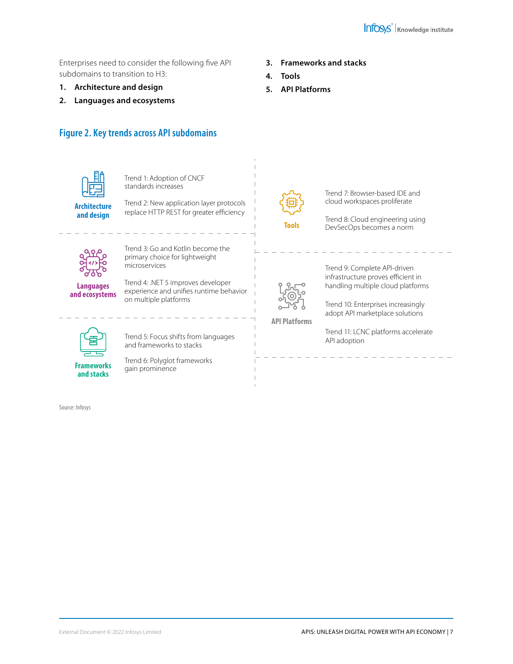Enterprises need to consider the following five API subdomains to transition to H3:

- **1. Architecture and design**
- **2. Languages and ecosystems**
- **3. Frameworks and stacks**
- **4. Tools**
- **5. API Platforms**

#### **Figure 2. Key trends across API subdomains**



Trend 1: Adoption of CNCF standards increases

**Architecture and design**

Trend 2: New application layer protocols replace HTTP REST for greater efficiency



Trend 3: Go and Kotlin become the primary choice for lightweight microservices

**Languages and ecosystems** Trend 4: .NET 5 improves developer experience and unifies runtime behavior on multiple platforms



Trend 5: Focus shifts from languages and frameworks to stacks

**Frameworks and stacks**

Trend 6: Polyglot frameworks gain prominence



Trend 7: Browser-based IDE and cloud workspaces proliferate

**Tools**

**API Platforms**

Trend 8: Cloud engineering using DevSecOps becomes a norm

Trend 9: Complete API-driven infrastructure proves efficient in handling multiple cloud platforms

Trend 10: Enterprises increasingly adopt API marketplace solutions

Trend 11: LCNC platforms accelerate API adoption

Source: Infosys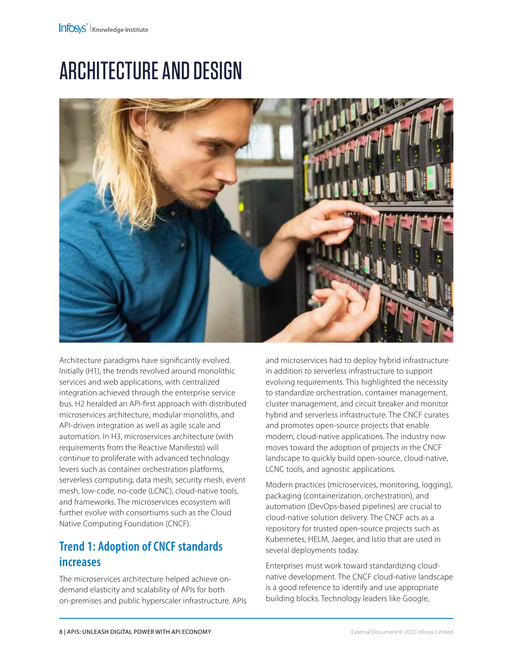# <span id="page-7-0"></span>ARCHITECTURE AND DESIGN



Architecture paradigms have significantly evolved. Initially (H1), the trends revolved around monolithic services and web applications, with centralized integration achieved through the enterprise service bus. H2 heralded an API-first approach with distributed microservices architecture, modular monoliths, and API-driven integration as well as agile scale and automation. In H3, microservices architecture (with requirements from the Reactive Manifesto) will continue to proliferate with advanced technology levers such as container orchestration platforms, serverless computing, data mesh, security mesh, event mesh, low-code, no-code (LCNC), cloud-native tools, and frameworks. The microservices ecosystem will further evolve with consortiums such as the Cloud Native Computing Foundation (CNCF).

#### **Trend 1: Adoption of CNCF standards increases**

The microservices architecture helped achieve ondemand elasticity and scalability of APIs for both on-premises and public hyperscaler infrastructure. APIs

and microservices had to deploy hybrid infrastructure in addition to serverless infrastructure to support evolving requirements. This highlighted the necessity to standardize orchestration, container management, cluster management, and circuit breaker and monitor hybrid and serverless infrastructure. The CNCF curates and promotes open-source projects that enable modern, cloud-native applications. The industry now moves toward the adoption of projects in the CNCF landscape to quickly build open-source, cloud-native, LCNC tools, and agnostic applications.

Modern practices (microservices, monitoring, logging), packaging (containerization, orchestration), and automation (DevOps-based pipelines) are crucial to cloud-native solution delivery. The CNCF acts as a repository for trusted open-source projects such as Kubernetes, HELM, Jaeger, and Istio that are used in several deployments today.

Enterprises must work toward standardizing cloudnative development. The CNCF cloud-native landscape is a good reference to identify and use appropriate building blocks. Technology leaders like Google,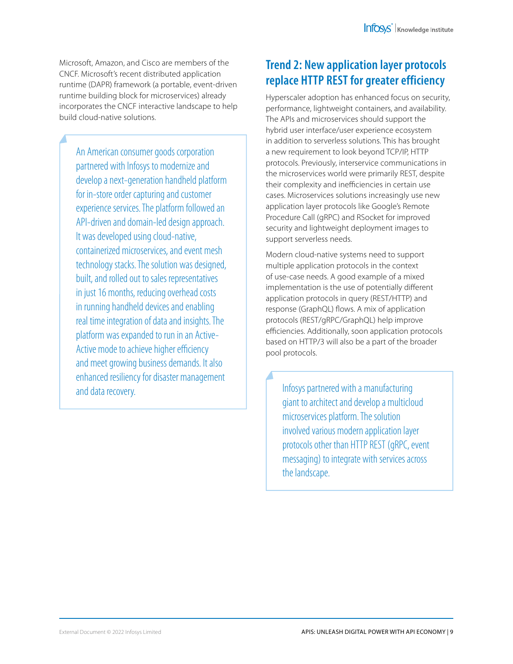Microsoft, Amazon, and Cisco are members of the CNCF. Microsoft's recent distributed application runtime (DAPR) framework (a portable, event-driven runtime building block for microservices) already incorporates the CNCF interactive landscape to help build cloud-native solutions.

An American consumer goods corporation partnered with Infosys to modernize and develop a next-generation handheld platform for in-store order capturing and customer experience services. The platform followed an API-driven and domain-led design approach. It was developed using cloud-native, containerized microservices, and event mesh technology stacks. The solution was designed, built, and rolled out to sales representatives in just 16 months, reducing overhead costs in running handheld devices and enabling real time integration of data and insights. The platform was expanded to run in an Active-Active mode to achieve higher efficiency and meet growing business demands. It also enhanced resiliency for disaster management and data recovery.

#### **Trend 2: New application layer protocols replace HTTP REST for greater efficiency**

Hyperscaler adoption has enhanced focus on security, performance, lightweight containers, and availability. The APIs and microservices should support the hybrid user interface/user experience ecosystem in addition to serverless solutions. This has brought a new requirement to look beyond TCP/IP, HTTP protocols. Previously, interservice communications in the microservices world were primarily REST, despite their complexity and inefficiencies in certain use cases. Microservices solutions increasingly use new application layer protocols like Google's Remote Procedure Call (gRPC) and RSocket for improved security and lightweight deployment images to support serverless needs.

Modern cloud-native systems need to support multiple application protocols in the context of use-case needs. A good example of a mixed implementation is the use of potentially different application protocols in query (REST/HTTP) and response (GraphQL) flows. A mix of application protocols (REST/gRPC/GraphQL) help improve efficiencies. Additionally, soon application protocols based on HTTP/3 will also be a part of the broader pool protocols.

Infosys partnered with a manufacturing giant to architect and develop a multicloud microservices platform. The solution involved various modern application layer protocols other than HTTP REST (gRPC, event messaging) to integrate with services across the landscape.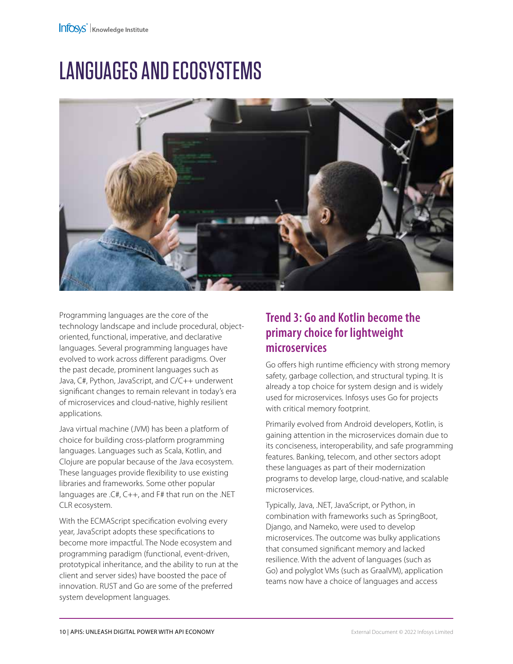# <span id="page-9-0"></span>LANGUAGES AND ECOSYSTEMS



Programming languages are the core of the technology landscape and include procedural, objectoriented, functional, imperative, and declarative languages. Several programming languages have evolved to work across different paradigms. Over the past decade, prominent languages such as Java, C#, Python, JavaScript, and C/C++ underwent significant changes to remain relevant in today's era of microservices and cloud-native, highly resilient applications.

Java virtual machine (JVM) has been a platform of choice for building cross-platform programming languages. Languages such as Scala, Kotlin, and Clojure are popular because of the Java ecosystem. These languages provide flexibility to use existing libraries and frameworks. Some other popular languages are .C#, C++, and F# that run on the .NET CLR ecosystem.

With the ECMAScript specification evolving every year, JavaScript adopts these specifications to become more impactful. The Node ecosystem and programming paradigm (functional, event-driven, prototypical inheritance, and the ability to run at the client and server sides) have boosted the pace of innovation. RUST and Go are some of the preferred system development languages.

#### **Trend 3: Go and Kotlin become the primary choice for lightweight microservices**

Go offers high runtime efficiency with strong memory safety, garbage collection, and structural typing. It is already a top choice for system design and is widely used for microservices. Infosys uses Go for projects with critical memory footprint.

Primarily evolved from Android developers, Kotlin, is gaining attention in the microservices domain due to its conciseness, interoperability, and safe programming features. Banking, telecom, and other sectors adopt these languages as part of their modernization programs to develop large, cloud-native, and scalable microservices.

Typically, Java, .NET, JavaScript, or Python, in combination with frameworks such as SpringBoot, Django, and Nameko, were used to develop microservices. The outcome was bulky applications that consumed significant memory and lacked resilience. With the advent of languages (such as Go) and polyglot VMs (such as GraalVM), application teams now have a choice of languages and access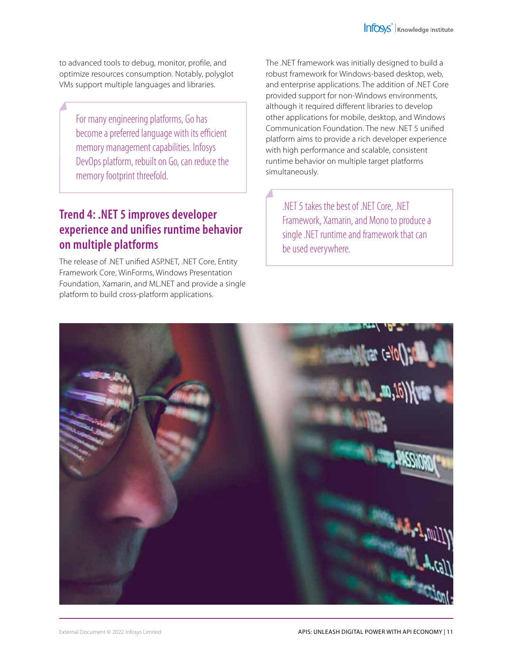to advanced tools to debug, monitor, profile, and optimize resources consumption. Notably, polyglot VMs support multiple languages and libraries.

For many engineering platforms, Go has become a preferred language with its efficient memory management capabilities. Infosys DevOps platform, rebuilt on Go, can reduce the memory footprint threefold.

#### **Trend 4: .NET 5 improves developer experience and unifies runtime behavior on multiple platforms**

The release of .NET unified ASP.NET, .NET Core, Entity Framework Core, WinForms, Windows Presentation Foundation, Xamarin, and ML.NET and provide a single platform to build cross-platform applications.

The .NET framework was initially designed to build a robust framework for Windows-based desktop, web, and enterprise applications. The addition of .NET Core provided support for non-Windows environments, although it required different libraries to develop other applications for mobile, desktop, and Windows Communication Foundation. The new .NET 5 unified platform aims to provide a rich developer experience with high performance and scalable, consistent runtime behavior on multiple target platforms simultaneously.

.NET 5 takes the best of .NET Core, .NET Framework, Xamarin, and Mono to produce a single .NET runtime and framework that can be used everywhere.

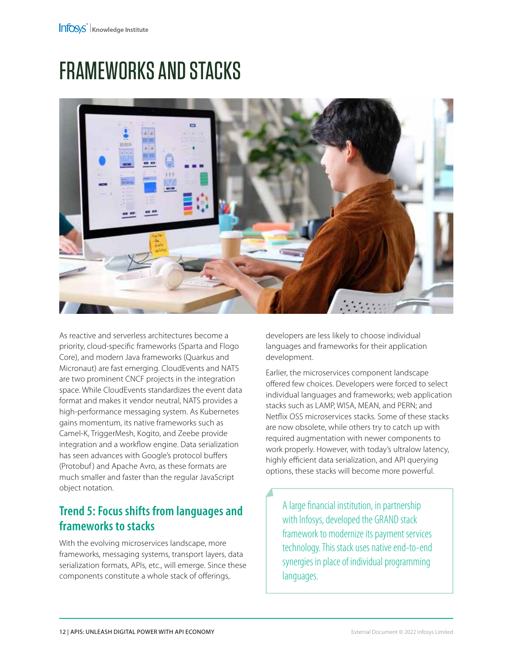## <span id="page-11-0"></span>FRAMEWORKS AND STACKS



As reactive and serverless architectures become a priority, cloud-specific frameworks (Sparta and Flogo Core), and modern Java frameworks (Quarkus and Micronaut) are fast emerging. CloudEvents and NATS are two prominent CNCF projects in the integration space. While CloudEvents standardizes the event data format and makes it vendor neutral, NATS provides a high-performance messaging system. As Kubernetes gains momentum, its native frameworks such as Camel-K, TriggerMesh, Kogito, and Zeebe provide integration and a workflow engine. Data serialization has seen advances with Google's protocol buffers (Protobuf) and Apache Avro, as these formats are much smaller and faster than the regular JavaScript object notation.

#### **Trend 5: Focus shifts from languages and frameworks to stacks**

With the evolving microservices landscape, more frameworks, messaging systems, transport layers, data serialization formats, APIs, etc., will emerge. Since these components constitute a whole stack of offerings,

developers are less likely to choose individual languages and frameworks for their application development.

Earlier, the microservices component landscape offered few choices. Developers were forced to select individual languages and frameworks; web application stacks such as LAMP, WISA, MEAN, and PERN; and Netflix OSS microservices stacks. Some of these stacks are now obsolete, while others try to catch up with required augmentation with newer components to work properly. However, with today's ultralow latency, highly efficient data serialization, and API querying options, these stacks will become more powerful.

A large financial institution, in partnership with Infosys, developed the GRAND stack framework to modernize its payment services technology. This stack uses native end-to-end synergies in place of individual programming languages.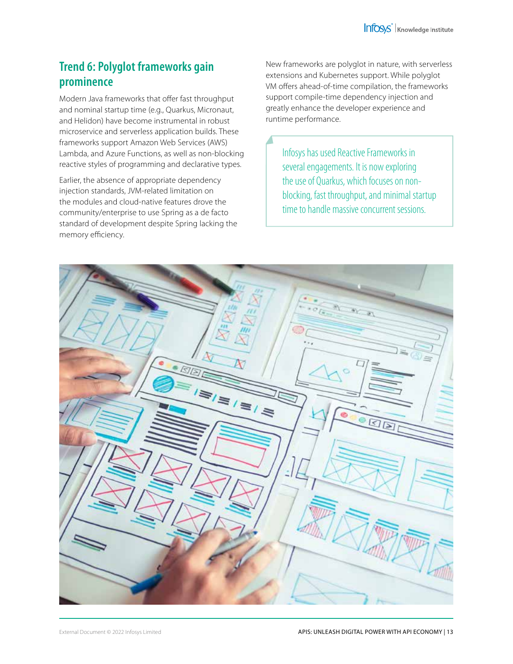#### **Trend 6: Polyglot frameworks gain prominence**

Modern Java frameworks that offer fast throughput and nominal startup time (e.g., Quarkus, Micronaut, and Helidon) have become instrumental in robust microservice and serverless application builds. These frameworks support Amazon Web Services (AWS) Lambda, and Azure Functions, as well as non-blocking reactive styles of programming and declarative types.

Earlier, the absence of appropriate dependency injection standards, JVM-related limitation on the modules and cloud-native features drove the community/enterprise to use Spring as a de facto standard of development despite Spring lacking the memory efficiency.

New frameworks are polyglot in nature, with serverless extensions and Kubernetes support. While polyglot VM offers ahead-of-time compilation, the frameworks support compile-time dependency injection and greatly enhance the developer experience and runtime performance.

Infosys has used Reactive Frameworks in several engagements. It is now exploring the use of Quarkus, which focuses on nonblocking, fast throughput, and minimal startup time to handle massive concurrent sessions.

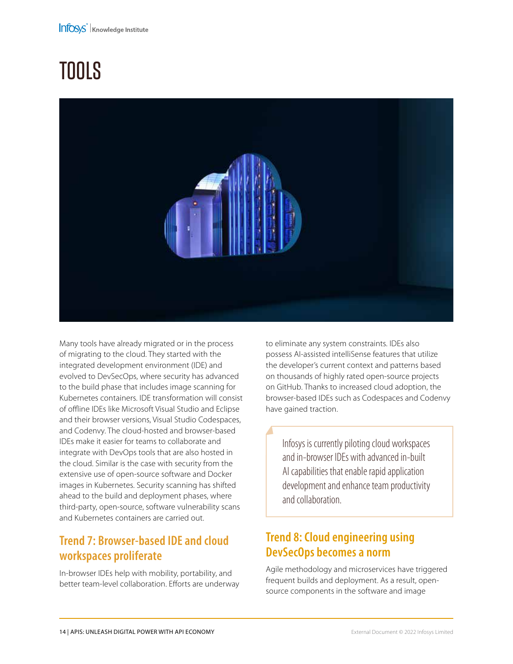<span id="page-13-0"></span>TOOLS



Many tools have already migrated or in the process of migrating to the cloud. They started with the integrated development environment (IDE) and evolved to DevSecOps, where security has advanced to the build phase that includes image scanning for Kubernetes containers. IDE transformation will consist of offline IDEs like Microsoft Visual Studio and Eclipse and their browser versions, Visual Studio Codespaces, and Codenvy. The cloud-hosted and browser-based IDEs make it easier for teams to collaborate and integrate with DevOps tools that are also hosted in the cloud. Similar is the case with security from the extensive use of open-source software and Docker images in Kubernetes. Security scanning has shifted ahead to the build and deployment phases, where third-party, open-source, software vulnerability scans and Kubernetes containers are carried out.

#### **Trend 7: Browser-based IDE and cloud workspaces proliferate**

In-browser IDEs help with mobility, portability, and better team-level collaboration. Efforts are underway to eliminate any system constraints. IDEs also possess AI-assisted intelliSense features that utilize the developer's current context and patterns based on thousands of highly rated open-source projects on GitHub. Thanks to increased cloud adoption, the browser-based IDEs such as Codespaces and Codenvy have gained traction.

Infosys is currently piloting cloud workspaces and in-browser IDEs with advanced in-built AI capabilities that enable rapid application development and enhance team productivity and collaboration.

#### **Trend 8: Cloud engineering using DevSecOps becomes a norm**

Agile methodology and microservices have triggered frequent builds and deployment. As a result, opensource components in the software and image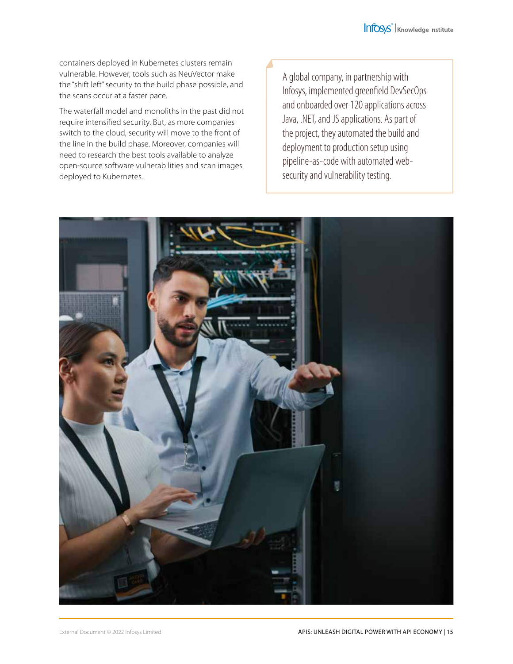containers deployed in Kubernetes clusters remain vulnerable. However, tools such as NeuVector make the "shift left" security to the build phase possible, and the scans occur at a faster pace.

The waterfall model and monoliths in the past did not require intensified security. But, as more companies switch to the cloud, security will move to the front of the line in the build phase. Moreover, companies will need to research the best tools available to analyze open-source software vulnerabilities and scan images deployed to Kubernetes.

A global company, in partnership with Infosys, implemented greenfield DevSecOps and onboarded over 120 applications across Java, .NET, and JS applications. As part of the project, they automated the build and deployment to production setup using pipeline-as-code with automated websecurity and vulnerability testing.

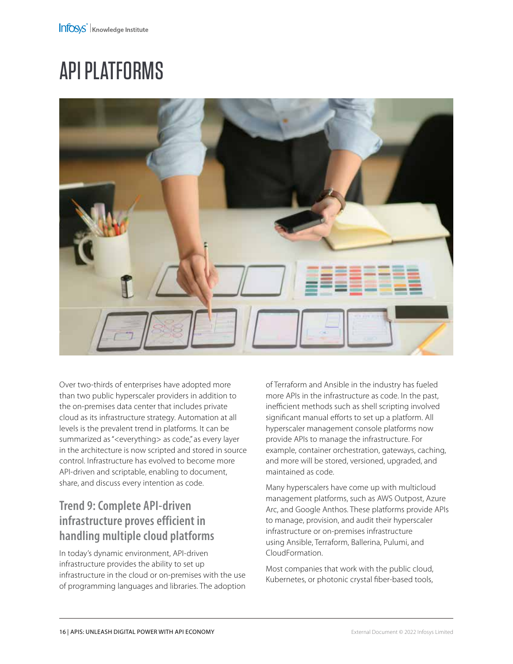## <span id="page-15-0"></span>API PLATFORMS



Over two-thirds of enterprises have adopted more than two public hyperscaler providers in addition to the on-premises data center that includes private cloud as its infrastructure strategy. Automation at all levels is the prevalent trend in platforms. It can be summarized as "<everything> as code," as every layer in the architecture is now scripted and stored in source control. Infrastructure has evolved to become more API-driven and scriptable, enabling to document, share, and discuss every intention as code.

#### **Trend 9: Complete API-driven infrastructure proves efficient in handling multiple cloud platforms**

In today's dynamic environment, API-driven infrastructure provides the ability to set up infrastructure in the cloud or on-premises with the use of programming languages and libraries. The adoption of Terraform and Ansible in the industry has fueled more APIs in the infrastructure as code. In the past, inefficient methods such as shell scripting involved significant manual efforts to set up a platform. All hyperscaler management console platforms now provide APIs to manage the infrastructure. For example, container orchestration, gateways, caching, and more will be stored, versioned, upgraded, and maintained as code.

Many hyperscalers have come up with multicloud management platforms, such as AWS Outpost, Azure Arc, and Google Anthos. These platforms provide APIs to manage, provision, and audit their hyperscaler infrastructure or on-premises infrastructure using Ansible, Terraform, Ballerina, Pulumi, and CloudFormation.

Most companies that work with the public cloud, Kubernetes, or photonic crystal fiber-based tools,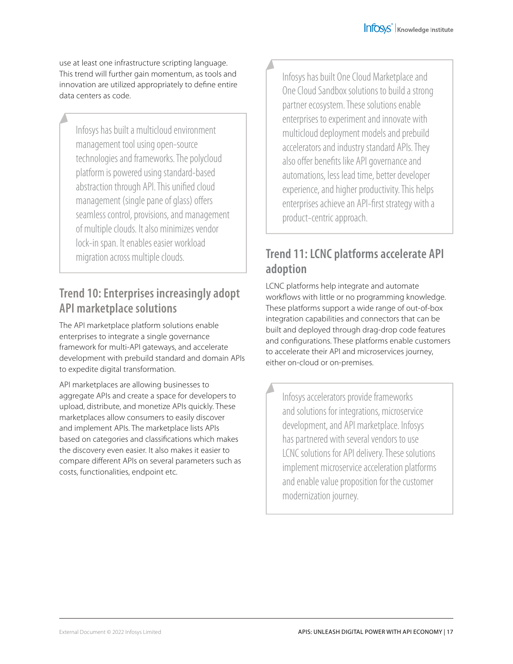use at least one infrastructure scripting language. This trend will further gain momentum, as tools and innovation are utilized appropriately to define entire data centers as code.

Infosys has built a multicloud environment management tool using open-source technologies and frameworks. The polycloud platform is powered using standard-based abstraction through API. This unified cloud management (single pane of glass) offers seamless control, provisions, and management of multiple clouds. It also minimizes vendor lock-in span. It enables easier workload migration across multiple clouds.

#### **Trend 10: Enterprises increasingly adopt API marketplace solutions**

The API marketplace platform solutions enable enterprises to integrate a single governance framework for multi-API gateways, and accelerate development with prebuild standard and domain APIs to expedite digital transformation.

API marketplaces are allowing businesses to aggregate APIs and create a space for developers to upload, distribute, and monetize APIs quickly. These marketplaces allow consumers to easily discover and implement APIs. The marketplace lists APIs based on categories and classifications which makes the discovery even easier. It also makes it easier to compare different APIs on several parameters such as costs, functionalities, endpoint etc.

Infosys has built One Cloud Marketplace and One Cloud Sandbox solutions to build a strong partner ecosystem. These solutions enable enterprises to experiment and innovate with multicloud deployment models and prebuild accelerators and industry standard APIs. They also offer benefits like API governance and automations, less lead time, better developer experience, and higher productivity. This helps enterprises achieve an API-first strategy with a product-centric approach.

#### **Trend 11: LCNC platforms accelerate API adoption**

LCNC platforms help integrate and automate workflows with little or no programming knowledge. These platforms support a wide range of out-of-box integration capabilities and connectors that can be built and deployed through drag-drop code features and configurations. These platforms enable customers to accelerate their API and microservices journey, either on-cloud or on-premises.

Infosys accelerators provide frameworks and solutions for integrations, microservice development, and API marketplace. Infosys has partnered with several vendors to use LCNC solutions for API delivery. These solutions implement microservice acceleration platforms and enable value proposition for the customer modernization journey.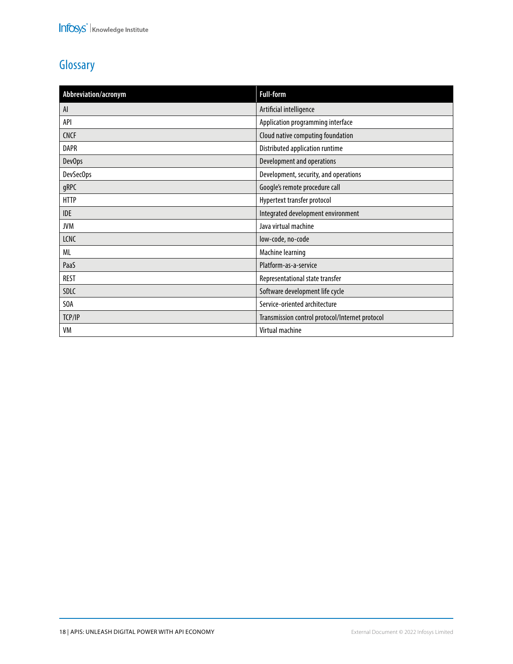### <span id="page-17-0"></span>**Glossary**

| Abbreviation/acronym | <b>Full-form</b>                                |
|----------------------|-------------------------------------------------|
| AI                   | Artificial intelligence                         |
| API                  | Application programming interface               |
| <b>CNCF</b>          | Cloud native computing foundation               |
| <b>DAPR</b>          | Distributed application runtime                 |
| DevOps               | Development and operations                      |
| DevSecOps            | Development, security, and operations           |
| gRPC                 | Google's remote procedure call                  |
| <b>HTTP</b>          | Hypertext transfer protocol                     |
| <b>IDE</b>           | Integrated development environment              |
| <b>JVM</b>           | Java virtual machine                            |
| <b>LCNC</b>          | low-code, no-code                               |
| ML                   | Machine learning                                |
| PaaS                 | Platform-as-a-service                           |
| REST                 | Representational state transfer                 |
| <b>SDLC</b>          | Software development life cycle                 |
| SOA                  | Service-oriented architecture                   |
| TCP/IP               | Transmission control protocol/Internet protocol |
| VM                   | Virtual machine                                 |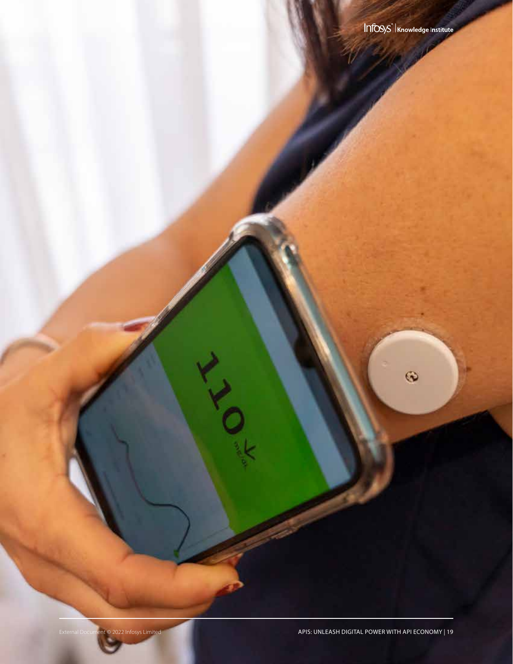$^{\circ}$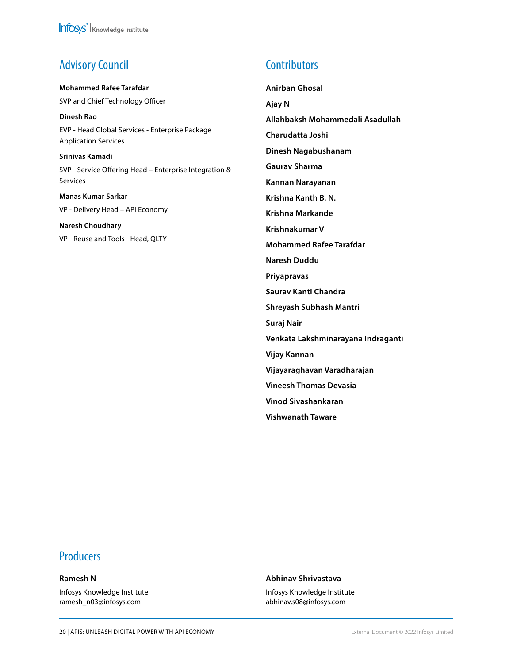#### <span id="page-19-0"></span>Advisory Council **Contributors**

**Mohammed Rafee Tarafdar** SVP and Chief Technology Officer **Dinesh Rao** EVP - Head Global Services - Enterprise Package Application Services **Srinivas Kamadi** SVP - Service Offering Head – Enterprise Integration & Services **Manas Kumar Sarkar** VP - Delivery Head – API Economy **Naresh Choudhary** VP - Reuse and Tools - Head, QLTY

**Anirban Ghosal Ajay N Allahbaksh Mohammedali Asadullah Charudatta Joshi Dinesh Nagabushanam Gaurav Sharma Kannan Narayanan Krishna Kanth B. N. Krishna Markande Krishnakumar V Mohammed Rafee Tarafdar Naresh Duddu Priyapravas Saurav Kanti Chandra Shreyash Subhash Mantri Suraj Nair Venkata Lakshminarayana Indraganti Vijay Kannan Vijayaraghavan Varadharajan Vineesh Thomas Devasia Vinod Sivashankaran Vishwanath Taware**

### Producers

#### **Ramesh N**

Infosys Knowledge Institute ramesh\_n03@infosys.com

#### **Abhinav Shrivastava**

Infosys Knowledge Institute abhinav.s08@infosys.com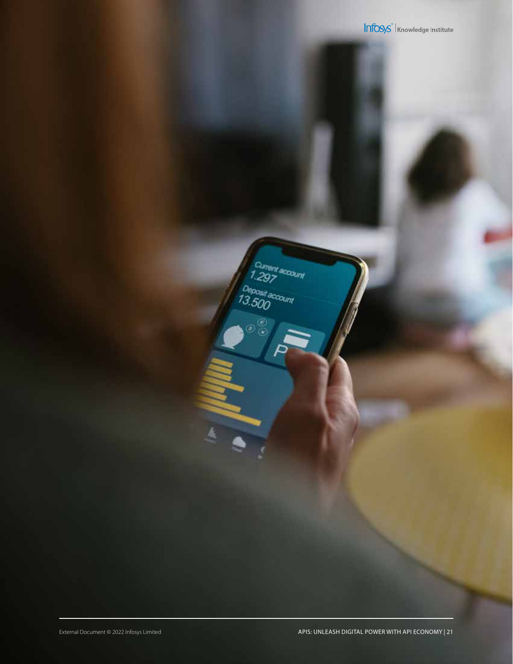Current account 1.297 Deposit account

> ⊙  $\odot$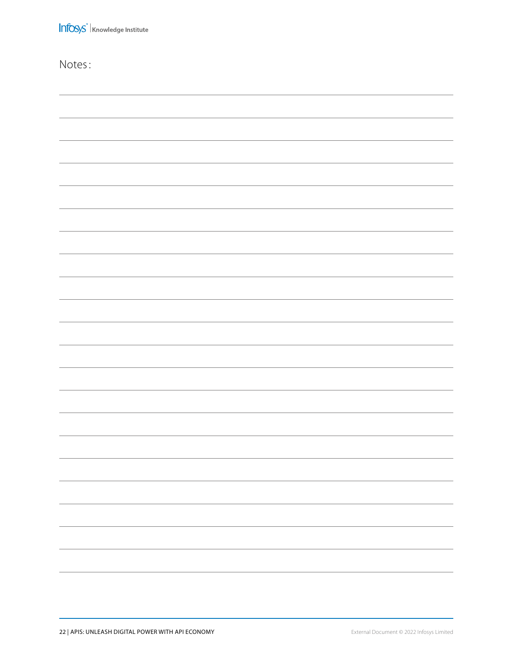|  | InfOSyS <sup>®</sup> Knowledge Institute |
|--|------------------------------------------|
|--|------------------------------------------|

Notes:

| $\overline{\phantom{0}}$ |
|--------------------------|
| $\sim$ 0.000 $\sim$      |
|                          |
| $\overline{\phantom{0}}$ |
|                          |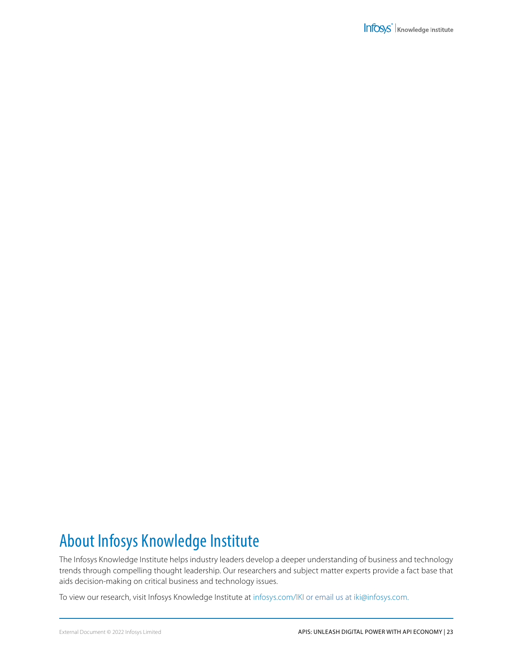

## About Infosys Knowledge Institute

The Infosys Knowledge Institute helps industry leaders develop a deeper understanding of business and technology trends through compelling thought leadership. Our researchers and subject matter experts provide a fact base that aids decision-making on critical business and technology issues.

To view our research, visit Infosys Knowledge Institute at [infosys.com/IKI](http://infosys.com/IKI) or email us at iki@infosys.com.